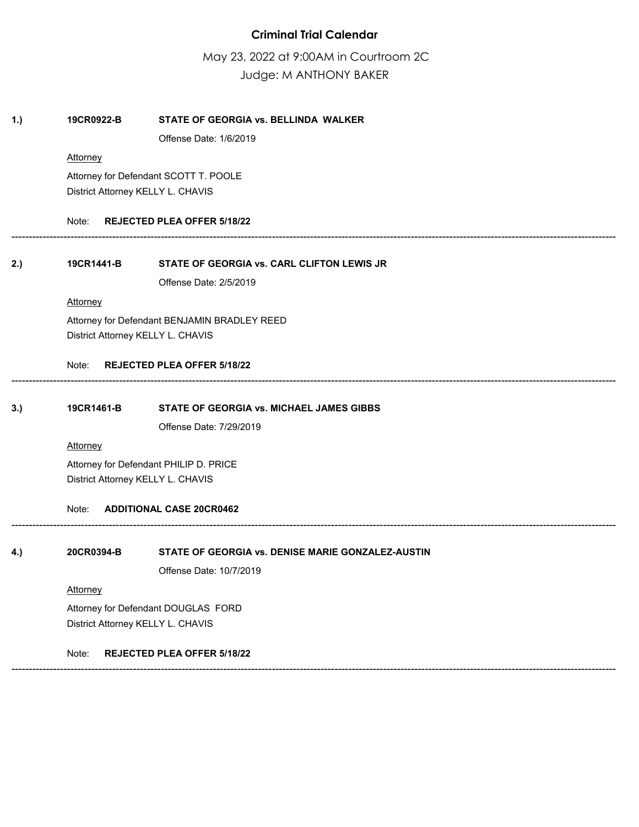# **Criminal Trial Calendar**

May 23, 2022 at 9:00AM in Courtroom 2C Judge: M ANTHONY BAKER

# **1.) 19CR0922-B STATE OF GEORGIA vs. BELLINDA WALKER** Offense Date: 1/6/2019 **Attorney** Attorney for Defendant SCOTT T. POOLE District Attorney KELLY L. CHAVIS Note: **REJECTED PLEA OFFER 5/18/22** ------------------------------------------------------------------------------------------------------------------------------------------------------------------------------ **2.) 19CR1441-B STATE OF GEORGIA vs. CARL CLIFTON LEWIS JR** Offense Date: 2/5/2019 **Attorney** Attorney for Defendant BENJAMIN BRADLEY REED District Attorney KELLY L. CHAVIS Note: **REJECTED PLEA OFFER 5/18/22** ------------------------------------------------------------------------------------------------------------------------------------------------------------------------------ **3.) 19CR1461-B STATE OF GEORGIA vs. MICHAEL JAMES GIBBS**  Offense Date: 7/29/2019 **Attorney** Attorney for Defendant PHILIP D. PRICE District Attorney KELLY L. CHAVIS Note: **ADDITIONAL CASE 20CR0462** ------------------------------------------------------------------------------------------------------------------------------------------------------------------------------ **4.) 20CR0394-B STATE OF GEORGIA vs. DENISE MARIE GONZALEZ-AUSTIN**  Offense Date: 10/7/2019 **Attorney** Attorney for Defendant DOUGLAS FORD District Attorney KELLY L. CHAVIS Note: **REJECTED PLEA OFFER 5/18/22** ------------------------------------------------------------------------------------------------------------------------------------------------------------------------------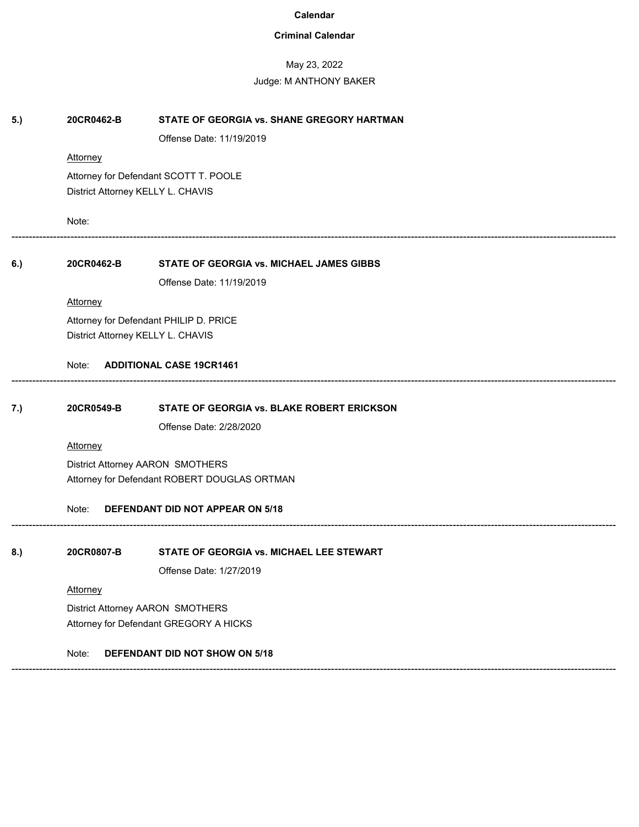# **Criminal Calendar**

# May 23, 2022

| 5.) | 20CR0462-B                                   | STATE OF GEORGIA vs. SHANE GREGORY HARTMAN      |  |  |  |
|-----|----------------------------------------------|-------------------------------------------------|--|--|--|
|     |                                              | Offense Date: 11/19/2019                        |  |  |  |
|     | <b>Attorney</b>                              |                                                 |  |  |  |
|     | Attorney for Defendant SCOTT T. POOLE        |                                                 |  |  |  |
|     | District Attorney KELLY L. CHAVIS            |                                                 |  |  |  |
|     | Note:                                        |                                                 |  |  |  |
| 6.) | 20CR0462-B                                   | <b>STATE OF GEORGIA vs. MICHAEL JAMES GIBBS</b> |  |  |  |
|     |                                              | Offense Date: 11/19/2019                        |  |  |  |
|     | <b>Attorney</b>                              |                                                 |  |  |  |
|     |                                              | Attorney for Defendant PHILIP D. PRICE          |  |  |  |
|     | District Attorney KELLY L. CHAVIS            |                                                 |  |  |  |
|     | Note:                                        | <b>ADDITIONAL CASE 19CR1461</b>                 |  |  |  |
| 7.) | 20CR0549-B                                   | STATE OF GEORGIA vs. BLAKE ROBERT ERICKSON      |  |  |  |
|     |                                              | Offense Date: 2/28/2020                         |  |  |  |
|     | <b>Attorney</b>                              |                                                 |  |  |  |
|     | District Attorney AARON SMOTHERS             |                                                 |  |  |  |
|     | Attorney for Defendant ROBERT DOUGLAS ORTMAN |                                                 |  |  |  |
|     | DEFENDANT DID NOT APPEAR ON 5/18<br>Note:    |                                                 |  |  |  |
| 8.) | 20CR0807-B                                   | STATE OF GEORGIA vs. MICHAEL LEE STEWART        |  |  |  |
|     |                                              | Offense Date: 1/27/2019                         |  |  |  |
|     | Attorney                                     |                                                 |  |  |  |
|     | District Attorney AARON SMOTHERS             |                                                 |  |  |  |
|     | Attorney for Defendant GREGORY A HICKS       |                                                 |  |  |  |
|     | Note:                                        | DEFENDANT DID NOT SHOW ON 5/18                  |  |  |  |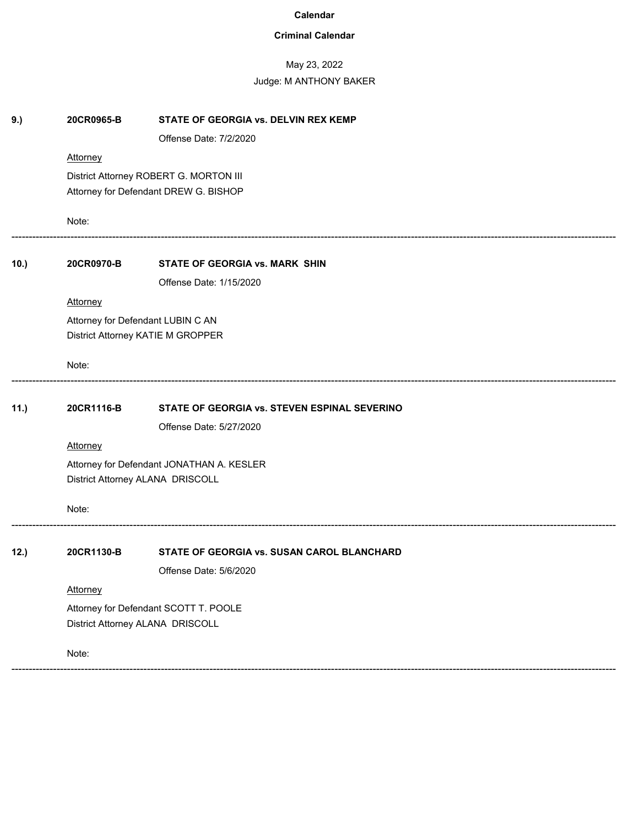# **Criminal Calendar**

# May 23, 2022

| 20CR0965-B                                | STATE OF GEORGIA vs. DELVIN REX KEMP         |  |  |
|-------------------------------------------|----------------------------------------------|--|--|
|                                           | Offense Date: 7/2/2020                       |  |  |
| Attorney                                  |                                              |  |  |
|                                           | District Attorney ROBERT G. MORTON III       |  |  |
| Attorney for Defendant DREW G. BISHOP     |                                              |  |  |
| Note:                                     |                                              |  |  |
| 20CR0970-B                                | STATE OF GEORGIA vs. MARK SHIN               |  |  |
|                                           | Offense Date: 1/15/2020                      |  |  |
| Attorney                                  |                                              |  |  |
|                                           | Attorney for Defendant LUBIN C AN            |  |  |
|                                           | District Attorney KATIE M GROPPER            |  |  |
| Note:                                     |                                              |  |  |
| 20CR1116-B                                | STATE OF GEORGIA vs. STEVEN ESPINAL SEVERINO |  |  |
|                                           | Offense Date: 5/27/2020                      |  |  |
| Attorney                                  |                                              |  |  |
| Attorney for Defendant JONATHAN A. KESLER |                                              |  |  |
| District Attorney ALANA DRISCOLL          |                                              |  |  |
| Note:                                     |                                              |  |  |
| 20CR1130-B                                | STATE OF GEORGIA vs. SUSAN CAROL BLANCHARD   |  |  |
|                                           | Offense Date: 5/6/2020                       |  |  |
| Attorney                                  |                                              |  |  |
| Attorney for Defendant SCOTT T. POOLE     |                                              |  |  |
| District Attorney ALANA DRISCOLL          |                                              |  |  |
| Note:                                     |                                              |  |  |
|                                           |                                              |  |  |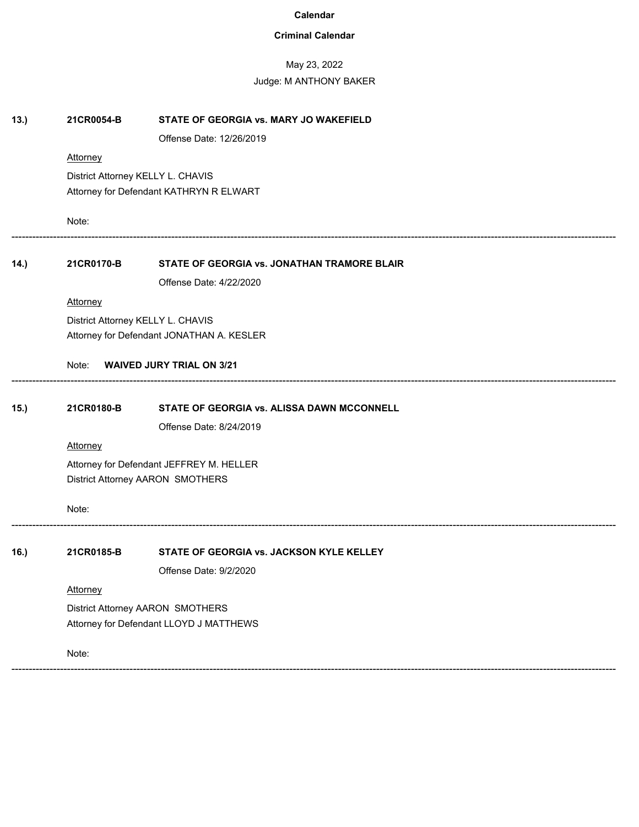# **Criminal Calendar**

# May 23, 2022

| 13.) | 21CR0054-B                              | STATE OF GEORGIA vs. MARY JO WAKEFIELD      |  |  |  |  |
|------|-----------------------------------------|---------------------------------------------|--|--|--|--|
|      |                                         | Offense Date: 12/26/2019                    |  |  |  |  |
|      | <b>Attorney</b>                         |                                             |  |  |  |  |
|      | District Attorney KELLY L. CHAVIS       |                                             |  |  |  |  |
|      | Attorney for Defendant KATHRYN R ELWART |                                             |  |  |  |  |
|      | Note:                                   |                                             |  |  |  |  |
| 14.) | 21CR0170-B                              | STATE OF GEORGIA vs. JONATHAN TRAMORE BLAIR |  |  |  |  |
|      |                                         | Offense Date: 4/22/2020                     |  |  |  |  |
|      | <b>Attorney</b>                         |                                             |  |  |  |  |
|      |                                         | District Attorney KELLY L. CHAVIS           |  |  |  |  |
|      |                                         | Attorney for Defendant JONATHAN A. KESLER   |  |  |  |  |
|      | Note:                                   | <b>WAIVED JURY TRIAL ON 3/21</b>            |  |  |  |  |
| 15.) | 21CR0180-B                              | STATE OF GEORGIA vs. ALISSA DAWN MCCONNELL  |  |  |  |  |
|      |                                         | Offense Date: 8/24/2019                     |  |  |  |  |
|      | <b>Attorney</b>                         |                                             |  |  |  |  |
|      |                                         | Attorney for Defendant JEFFREY M. HELLER    |  |  |  |  |
|      |                                         | District Attorney AARON SMOTHERS            |  |  |  |  |
|      | Note:                                   |                                             |  |  |  |  |
| 16.) | 21CR0185-B                              | STATE OF GEORGIA vs. JACKSON KYLE KELLEY    |  |  |  |  |
|      |                                         | Offense Date: 9/2/2020                      |  |  |  |  |
|      | Attorney                                |                                             |  |  |  |  |
|      | District Attorney AARON SMOTHERS        |                                             |  |  |  |  |
|      |                                         | Attorney for Defendant LLOYD J MATTHEWS     |  |  |  |  |
|      | Note:                                   |                                             |  |  |  |  |
|      |                                         |                                             |  |  |  |  |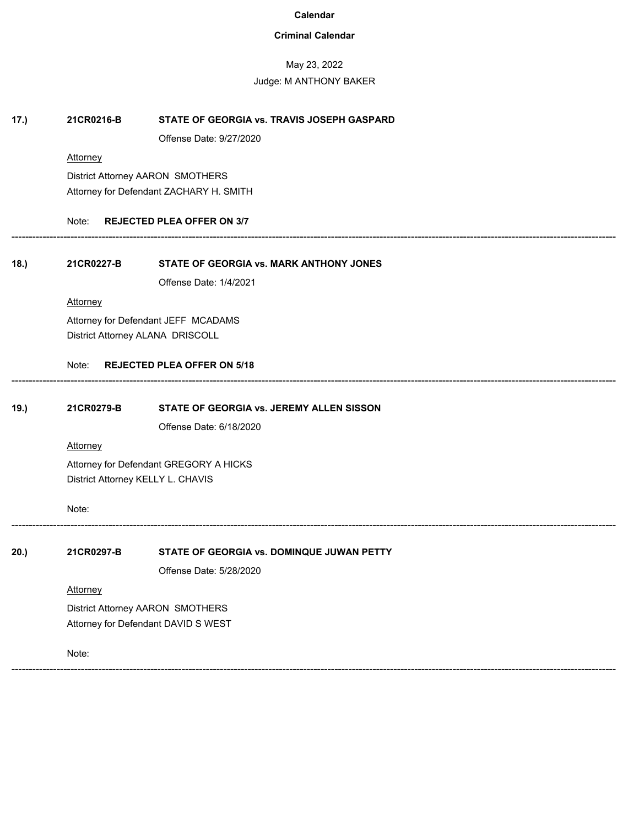### **Criminal Calendar**

#### May 23, 2022

# Judge: M ANTHONY BAKER **17.) 21CR0216-B STATE OF GEORGIA vs. TRAVIS JOSEPH GASPARD** Offense Date: 9/27/2020 **Attorney** District Attorney AARON SMOTHERS Attorney for Defendant ZACHARY H. SMITH Note: **REJECTED PLEA OFFER ON 3/7** ------------------------------------------------------------------------------------------------------------------------------------------------------------------------------ **18.) 21CR0227-B STATE OF GEORGIA vs. MARK ANTHONY JONES** Offense Date: 1/4/2021 **Attorney** Attorney for Defendant JEFF MCADAMS District Attorney ALANA DRISCOLL Note: **REJECTED PLEA OFFER ON 5/18** ------------------------------------------------------------------------------------------------------------------------------------------------------------------------------ **19.) 21CR0279-B STATE OF GEORGIA vs. JEREMY ALLEN SISSON**  Offense Date: 6/18/2020 **Attorney** Attorney for Defendant GREGORY A HICKS District Attorney KELLY L. CHAVIS Note: ------------------------------------------------------------------------------------------------------------------------------------------------------------------------------ **20.) 21CR0297-B STATE OF GEORGIA vs. DOMINQUE JUWAN PETTY**  Offense Date: 5/28/2020 **Attorney** District Attorney AARON SMOTHERS Attorney for Defendant DAVID S WEST Note: ------------------------------------------------------------------------------------------------------------------------------------------------------------------------------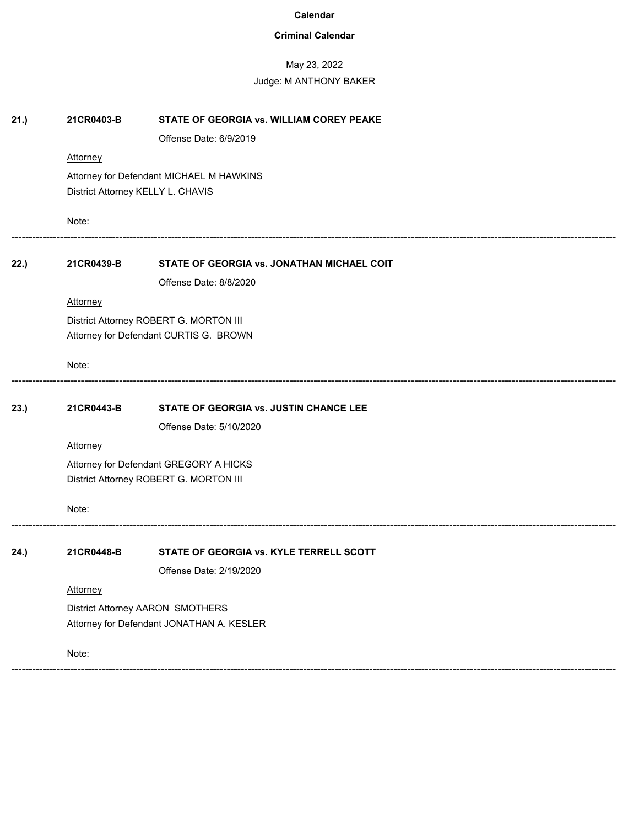# **Criminal Calendar**

# May 23, 2022

| 21.) | 21CR0403-B                                | STATE OF GEORGIA vs. WILLIAM COREY PEAKE   |  |  |
|------|-------------------------------------------|--------------------------------------------|--|--|
|      |                                           | Offense Date: 6/9/2019                     |  |  |
|      | <b>Attorney</b>                           |                                            |  |  |
|      | Attorney for Defendant MICHAEL M HAWKINS  |                                            |  |  |
|      | District Attorney KELLY L. CHAVIS         |                                            |  |  |
|      | Note:                                     |                                            |  |  |
| 22.) | 21CR0439-B                                | STATE OF GEORGIA vs. JONATHAN MICHAEL COIT |  |  |
|      |                                           | Offense Date: 8/8/2020                     |  |  |
|      | <b>Attorney</b>                           |                                            |  |  |
|      |                                           | District Attorney ROBERT G. MORTON III     |  |  |
|      | Attorney for Defendant CURTIS G. BROWN    |                                            |  |  |
|      | Note:                                     |                                            |  |  |
| 23.) | 21CR0443-B                                | STATE OF GEORGIA vs. JUSTIN CHANCE LEE     |  |  |
|      |                                           | Offense Date: 5/10/2020                    |  |  |
|      | <b>Attorney</b>                           |                                            |  |  |
|      | Attorney for Defendant GREGORY A HICKS    |                                            |  |  |
|      | District Attorney ROBERT G. MORTON III    |                                            |  |  |
|      | Note:                                     |                                            |  |  |
| 24.) | 21CR0448-B                                | STATE OF GEORGIA vs. KYLE TERRELL SCOTT    |  |  |
|      |                                           | Offense Date: 2/19/2020                    |  |  |
|      | Attorney                                  |                                            |  |  |
|      | District Attorney AARON SMOTHERS          |                                            |  |  |
|      | Attorney for Defendant JONATHAN A. KESLER |                                            |  |  |
|      | Note:                                     |                                            |  |  |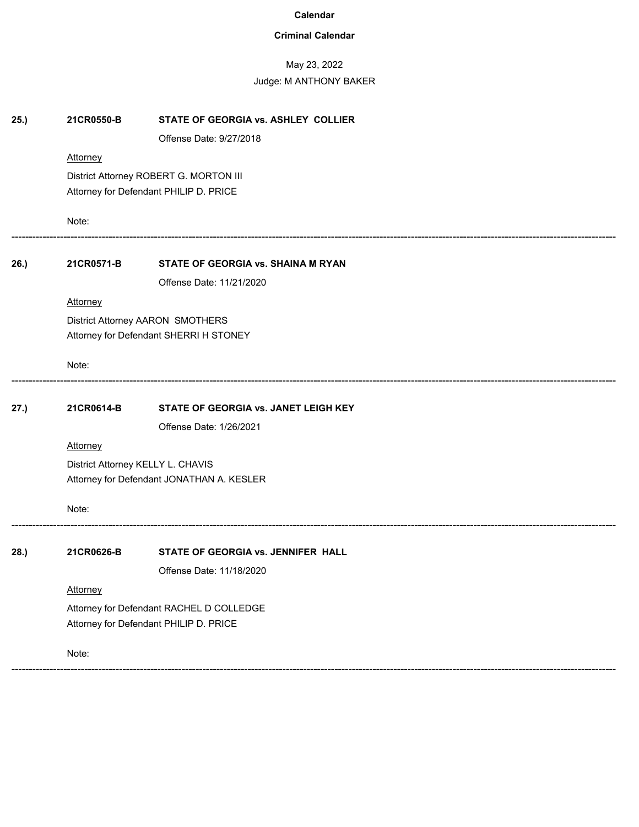# **Criminal Calendar**

# May 23, 2022

| 25.) | 21CR0550-B                                | STATE OF GEORGIA vs. ASHLEY COLLIER  |  |  |
|------|-------------------------------------------|--------------------------------------|--|--|
|      |                                           | Offense Date: 9/27/2018              |  |  |
|      | Attorney                                  |                                      |  |  |
|      | District Attorney ROBERT G. MORTON III    |                                      |  |  |
|      | Attorney for Defendant PHILIP D. PRICE    |                                      |  |  |
|      | Note:                                     |                                      |  |  |
| 26.) | 21CR0571-B                                | STATE OF GEORGIA vs. SHAINA M RYAN   |  |  |
|      |                                           | Offense Date: 11/21/2020             |  |  |
|      | Attorney                                  |                                      |  |  |
|      |                                           | District Attorney AARON SMOTHERS     |  |  |
|      | Attorney for Defendant SHERRI H STONEY    |                                      |  |  |
|      | Note:                                     |                                      |  |  |
| 27.) | 21CR0614-B                                | STATE OF GEORGIA vs. JANET LEIGH KEY |  |  |
|      |                                           | Offense Date: 1/26/2021              |  |  |
|      | Attorney                                  |                                      |  |  |
|      | District Attorney KELLY L. CHAVIS         |                                      |  |  |
|      | Attorney for Defendant JONATHAN A. KESLER |                                      |  |  |
|      | Note:                                     |                                      |  |  |
| 28.) | 21CR0626-B                                | STATE OF GEORGIA vs. JENNIFER HALL   |  |  |
|      |                                           | Offense Date: 11/18/2020             |  |  |
|      | Attorney                                  |                                      |  |  |
|      | Attorney for Defendant RACHEL D COLLEDGE  |                                      |  |  |
|      | Attorney for Defendant PHILIP D. PRICE    |                                      |  |  |
|      | Note:                                     |                                      |  |  |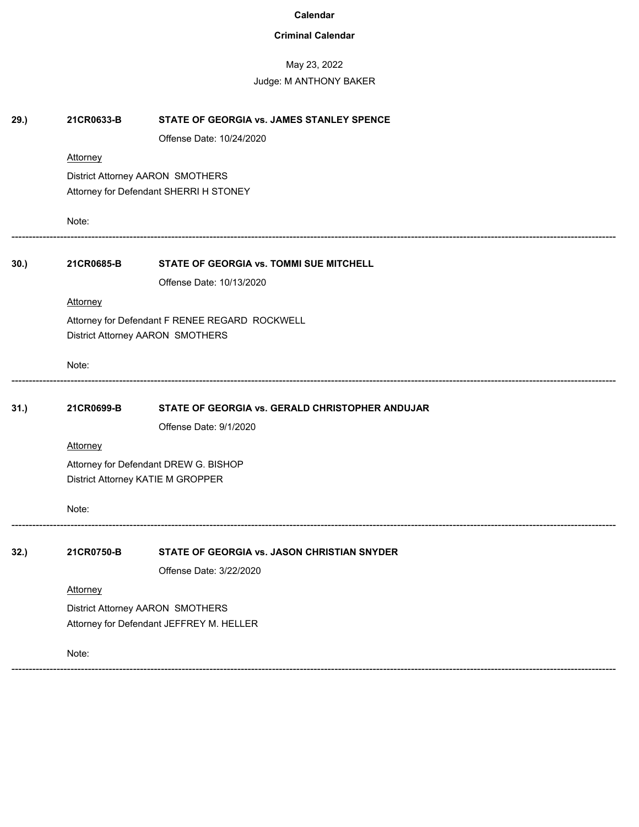# **Criminal Calendar**

# May 23, 2022

| 29.) | 21CR0633-B                               | STATE OF GEORGIA vs. JAMES STANLEY SPENCE       |  |  |  |
|------|------------------------------------------|-------------------------------------------------|--|--|--|
|      |                                          | Offense Date: 10/24/2020                        |  |  |  |
|      | <b>Attorney</b>                          |                                                 |  |  |  |
|      | District Attorney AARON SMOTHERS         |                                                 |  |  |  |
|      |                                          | Attorney for Defendant SHERRI H STONEY          |  |  |  |
|      | Note:                                    |                                                 |  |  |  |
| 30.) | 21CR0685-B                               | STATE OF GEORGIA vs. TOMMI SUE MITCHELL         |  |  |  |
|      |                                          | Offense Date: 10/13/2020                        |  |  |  |
|      | <b>Attorney</b>                          |                                                 |  |  |  |
|      |                                          | Attorney for Defendant F RENEE REGARD ROCKWELL  |  |  |  |
|      |                                          | District Attorney AARON SMOTHERS                |  |  |  |
|      | Note:                                    |                                                 |  |  |  |
| 31.) | 21CR0699-B                               | STATE OF GEORGIA vs. GERALD CHRISTOPHER ANDUJAR |  |  |  |
|      |                                          | Offense Date: 9/1/2020                          |  |  |  |
|      | <b>Attorney</b>                          |                                                 |  |  |  |
|      | Attorney for Defendant DREW G. BISHOP    |                                                 |  |  |  |
|      |                                          | District Attorney KATIE M GROPPER               |  |  |  |
|      | Note:                                    |                                                 |  |  |  |
| 32.) | 21CR0750-B                               | STATE OF GEORGIA vs. JASON CHRISTIAN SNYDER     |  |  |  |
|      |                                          | Offense Date: 3/22/2020                         |  |  |  |
|      | Attorney                                 |                                                 |  |  |  |
|      | District Attorney AARON SMOTHERS         |                                                 |  |  |  |
|      | Attorney for Defendant JEFFREY M. HELLER |                                                 |  |  |  |
|      | Note:                                    |                                                 |  |  |  |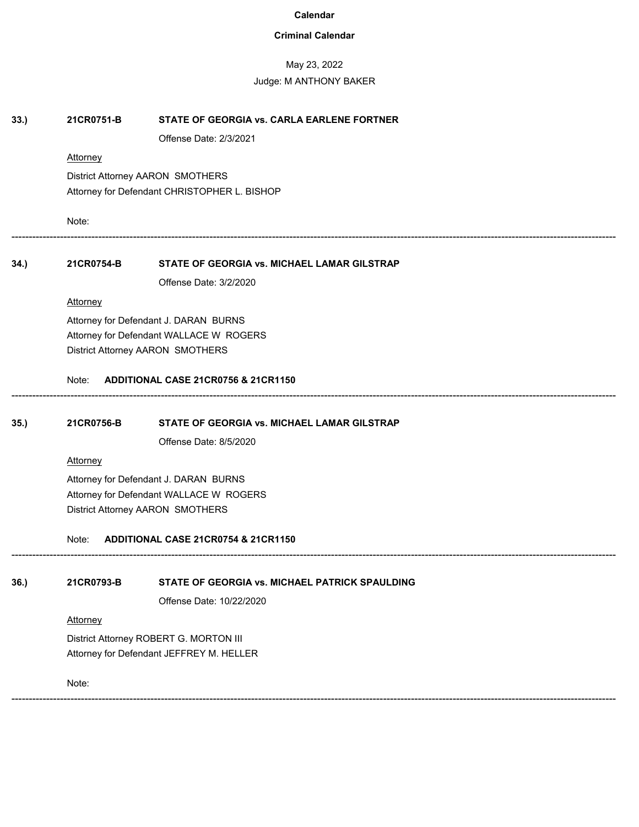### **Criminal Calendar**

#### May 23, 2022

#### Judge: M ANTHONY BAKER

#### **33.) 21CR0751-B STATE OF GEORGIA vs. CARLA EARLENE FORTNER**

Offense Date: 2/3/2021

#### **Attorney**

District Attorney AARON SMOTHERS Attorney for Defendant CHRISTOPHER L. BISHOP

Note:

------------------------------------------------------------------------------------------------------------------------------------------------------------------------------

------------------------------------------------------------------------------------------------------------------------------------------------------------------------------

------------------------------------------------------------------------------------------------------------------------------------------------------------------------------

#### **34.) 21CR0754-B STATE OF GEORGIA vs. MICHAEL LAMAR GILSTRAP**

Offense Date: 3/2/2020

#### **Attorney**

Attorney for Defendant J. DARAN BURNS Attorney for Defendant WALLACE W ROGERS District Attorney AARON SMOTHERS

#### Note: **ADDITIONAL CASE 21CR0756 & 21CR1150**

#### **35.) 21CR0756-B STATE OF GEORGIA vs. MICHAEL LAMAR GILSTRAP**

Offense Date: 8/5/2020

#### **Attorney**

Attorney for Defendant J. DARAN BURNS Attorney for Defendant WALLACE W ROGERS District Attorney AARON SMOTHERS

Note: **ADDITIONAL CASE 21CR0754 & 21CR1150**

#### **36.) 21CR0793-B STATE OF GEORGIA vs. MICHAEL PATRICK SPAULDING**

Offense Date: 10/22/2020

#### **Attorney**

District Attorney ROBERT G. MORTON III Attorney for Defendant JEFFREY M. HELLER

Note:

------------------------------------------------------------------------------------------------------------------------------------------------------------------------------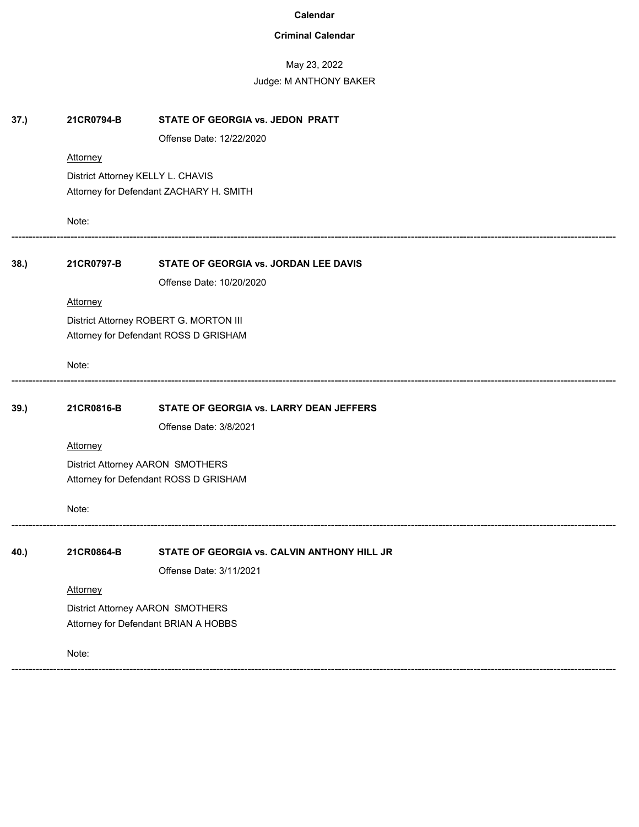# **Criminal Calendar**

# May 23, 2022

| 37.) | 21CR0794-B                              | STATE OF GEORGIA vs. JEDON PRATT            |  |  |
|------|-----------------------------------------|---------------------------------------------|--|--|
|      |                                         | Offense Date: 12/22/2020                    |  |  |
|      | Attorney                                |                                             |  |  |
|      | District Attorney KELLY L. CHAVIS       |                                             |  |  |
|      | Attorney for Defendant ZACHARY H. SMITH |                                             |  |  |
|      | Note:                                   |                                             |  |  |
| 38.) | 21CR0797-B                              | STATE OF GEORGIA vs. JORDAN LEE DAVIS       |  |  |
|      |                                         | Offense Date: 10/20/2020                    |  |  |
|      | Attorney                                |                                             |  |  |
|      |                                         | District Attorney ROBERT G. MORTON III      |  |  |
|      |                                         | Attorney for Defendant ROSS D GRISHAM       |  |  |
|      | Note:                                   |                                             |  |  |
| 39.) | 21CR0816-B                              | STATE OF GEORGIA vs. LARRY DEAN JEFFERS     |  |  |
|      |                                         | Offense Date: 3/8/2021                      |  |  |
|      | <b>Attorney</b>                         |                                             |  |  |
|      | District Attorney AARON SMOTHERS        |                                             |  |  |
|      | Attorney for Defendant ROSS D GRISHAM   |                                             |  |  |
|      | Note:                                   |                                             |  |  |
| 40.) | 21CR0864-B                              | STATE OF GEORGIA vs. CALVIN ANTHONY HILL JR |  |  |
|      |                                         | Offense Date: 3/11/2021                     |  |  |
|      | Attorney                                |                                             |  |  |
|      | District Attorney AARON SMOTHERS        |                                             |  |  |
|      | Attorney for Defendant BRIAN A HOBBS    |                                             |  |  |
|      | Note:                                   |                                             |  |  |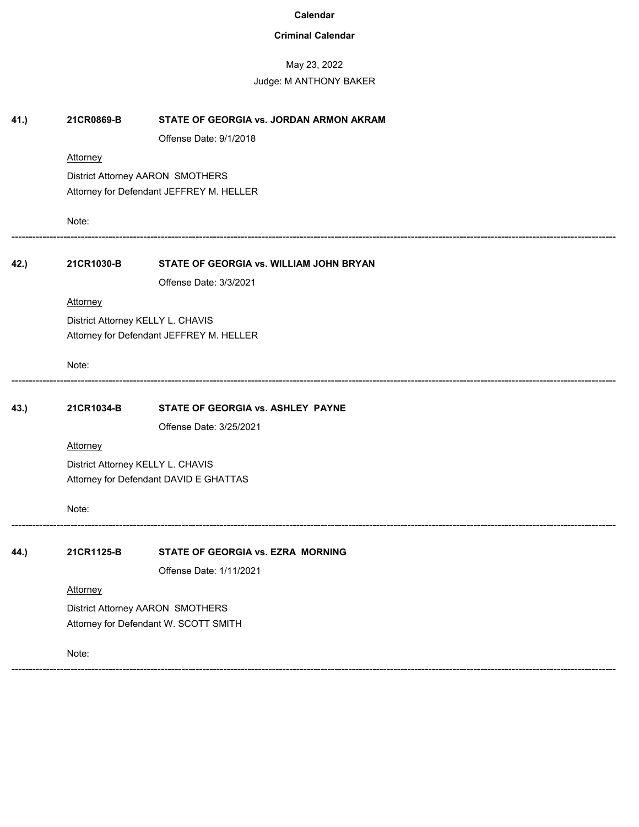# **Criminal Calendar**

# May 23, 2022

| 41.) | 21CR0869-B                            | STATE OF GEORGIA vs. JORDAN ARMON AKRAM  |  |  |
|------|---------------------------------------|------------------------------------------|--|--|
|      |                                       | Offense Date: 9/1/2018                   |  |  |
|      | <b>Attorney</b>                       |                                          |  |  |
|      | District Attorney AARON SMOTHERS      |                                          |  |  |
|      |                                       | Attorney for Defendant JEFFREY M. HELLER |  |  |
|      | Note:                                 |                                          |  |  |
| 42.) | 21CR1030-B                            | STATE OF GEORGIA vs. WILLIAM JOHN BRYAN  |  |  |
|      |                                       | Offense Date: 3/3/2021                   |  |  |
|      | <b>Attorney</b>                       |                                          |  |  |
|      |                                       | District Attorney KELLY L. CHAVIS        |  |  |
|      |                                       | Attorney for Defendant JEFFREY M. HELLER |  |  |
|      | Note:                                 |                                          |  |  |
| 43.) | 21CR1034-B                            | STATE OF GEORGIA vs. ASHLEY PAYNE        |  |  |
|      |                                       | Offense Date: 3/25/2021                  |  |  |
|      | <b>Attorney</b>                       |                                          |  |  |
|      |                                       | District Attorney KELLY L. CHAVIS        |  |  |
|      |                                       | Attorney for Defendant DAVID E GHATTAS   |  |  |
|      | Note:                                 |                                          |  |  |
| 44.) | 21CR1125-B                            | STATE OF GEORGIA vs. EZRA MORNING        |  |  |
|      |                                       | Offense Date: 1/11/2021                  |  |  |
|      | Attorney                              |                                          |  |  |
|      | District Attorney AARON SMOTHERS      |                                          |  |  |
|      | Attorney for Defendant W. SCOTT SMITH |                                          |  |  |
|      | Note:                                 |                                          |  |  |
|      |                                       |                                          |  |  |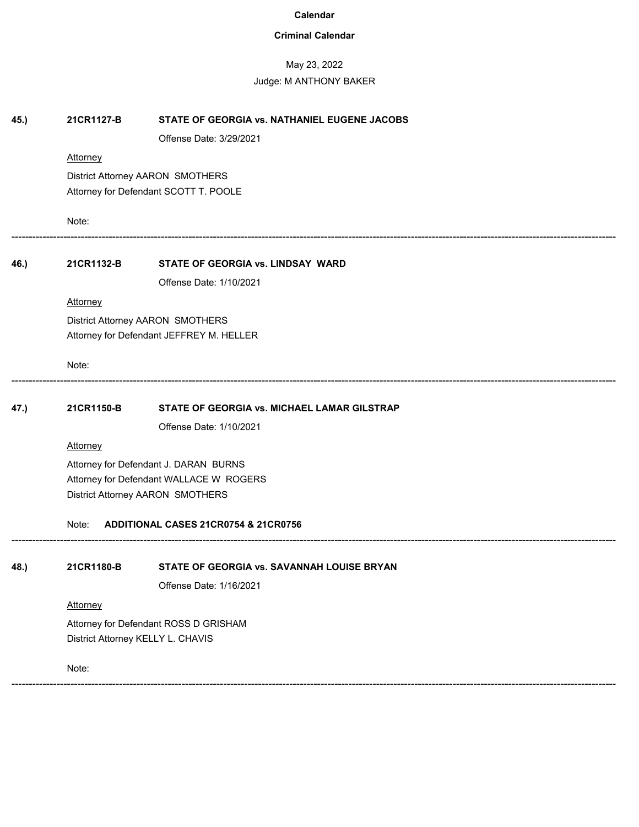# **Criminal Calendar**

# May 23, 2022

| 45.) | 21CR1127-B                                    | STATE OF GEORGIA vs. NATHANIEL EUGENE JACOBS |  |  |  |
|------|-----------------------------------------------|----------------------------------------------|--|--|--|
|      |                                               | Offense Date: 3/29/2021                      |  |  |  |
|      | Attorney                                      |                                              |  |  |  |
|      | District Attorney AARON SMOTHERS              |                                              |  |  |  |
|      | Attorney for Defendant SCOTT T. POOLE         |                                              |  |  |  |
|      | Note:                                         |                                              |  |  |  |
| 46.) | 21CR1132-B                                    | STATE OF GEORGIA vs. LINDSAY WARD            |  |  |  |
|      |                                               | Offense Date: 1/10/2021                      |  |  |  |
|      | Attorney                                      |                                              |  |  |  |
|      |                                               | District Attorney AARON SMOTHERS             |  |  |  |
|      | Attorney for Defendant JEFFREY M. HELLER      |                                              |  |  |  |
|      | Note:                                         |                                              |  |  |  |
| 47.) | 21CR1150-B                                    | STATE OF GEORGIA vs. MICHAEL LAMAR GILSTRAP  |  |  |  |
|      |                                               | Offense Date: 1/10/2021                      |  |  |  |
|      | Attorney                                      |                                              |  |  |  |
|      | Attorney for Defendant J. DARAN BURNS         |                                              |  |  |  |
|      | Attorney for Defendant WALLACE W ROGERS       |                                              |  |  |  |
|      | District Attorney AARON SMOTHERS              |                                              |  |  |  |
|      | ADDITIONAL CASES 21CR0754 & 21CR0756<br>Note: |                                              |  |  |  |
| 48.) | 21CR1180-B                                    | STATE OF GEORGIA vs. SAVANNAH LOUISE BRYAN   |  |  |  |
|      |                                               | Offense Date: 1/16/2021                      |  |  |  |
|      | Attorney                                      |                                              |  |  |  |
|      | Attorney for Defendant ROSS D GRISHAM         |                                              |  |  |  |
|      | District Attorney KELLY L. CHAVIS             |                                              |  |  |  |
|      | Note:                                         |                                              |  |  |  |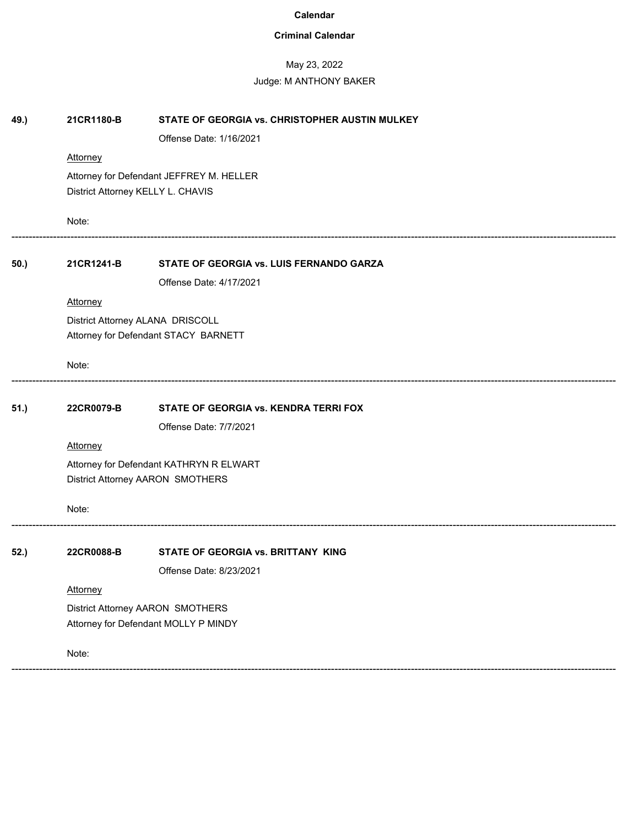# **Criminal Calendar**

# May 23, 2022

| 49.) | 21CR1180-B                                                                  | STATE OF GEORGIA vs. CHRISTOPHER AUSTIN MULKEY |  |  |
|------|-----------------------------------------------------------------------------|------------------------------------------------|--|--|
|      |                                                                             | Offense Date: 1/16/2021                        |  |  |
|      | Attorney                                                                    |                                                |  |  |
|      | Attorney for Defendant JEFFREY M. HELLER                                    |                                                |  |  |
|      | District Attorney KELLY L. CHAVIS                                           |                                                |  |  |
|      | Note:                                                                       |                                                |  |  |
| 50.) | 21CR1241-B                                                                  | STATE OF GEORGIA vs. LUIS FERNANDO GARZA       |  |  |
|      |                                                                             | Offense Date: 4/17/2021                        |  |  |
|      | Attorney                                                                    |                                                |  |  |
|      |                                                                             | District Attorney ALANA DRISCOLL               |  |  |
|      | Attorney for Defendant STACY BARNETT                                        |                                                |  |  |
|      | Note:                                                                       |                                                |  |  |
| 51.) | 22CR0079-B                                                                  | STATE OF GEORGIA vs. KENDRA TERRI FOX          |  |  |
|      |                                                                             | Offense Date: 7/7/2021                         |  |  |
|      | Attorney                                                                    |                                                |  |  |
|      | Attorney for Defendant KATHRYN R ELWART<br>District Attorney AARON SMOTHERS |                                                |  |  |
|      |                                                                             |                                                |  |  |
|      | Note:                                                                       |                                                |  |  |
| 52.) | 22CR0088-B                                                                  | STATE OF GEORGIA vs. BRITTANY KING             |  |  |
|      |                                                                             | Offense Date: 8/23/2021                        |  |  |
|      | Attorney                                                                    |                                                |  |  |
|      | District Attorney AARON SMOTHERS                                            |                                                |  |  |
|      | Attorney for Defendant MOLLY P MINDY                                        |                                                |  |  |
|      | Note:                                                                       |                                                |  |  |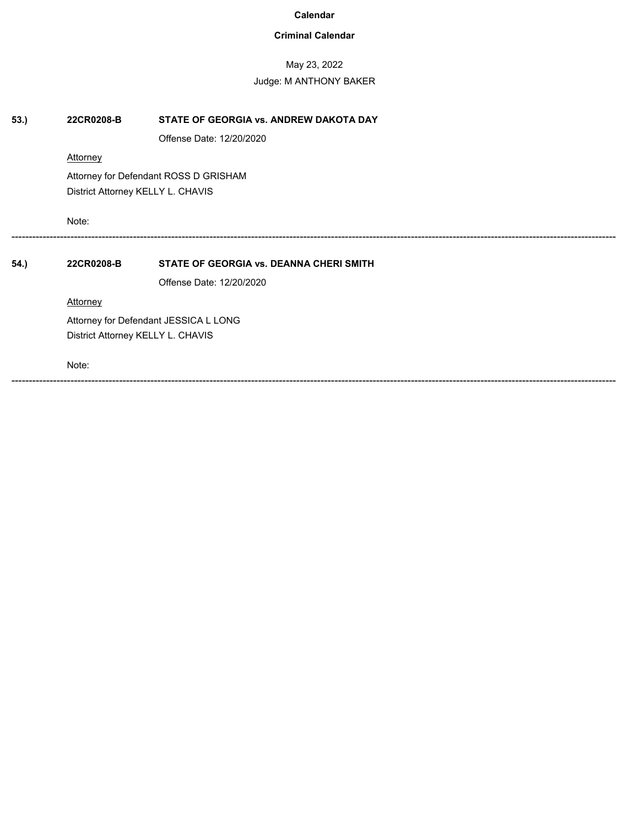# **Criminal Calendar**

# May 23, 2022

# Judge: M ANTHONY BAKER

| 53.  | 22CR0208-B                            | STATE OF GEORGIA vs. ANDREW DAKOTA DAY         |
|------|---------------------------------------|------------------------------------------------|
|      |                                       | Offense Date: 12/20/2020                       |
|      | <b>Attorney</b>                       |                                                |
|      |                                       | Attorney for Defendant ROSS D GRISHAM          |
|      | District Attorney KELLY L. CHAVIS     |                                                |
|      | Note:                                 |                                                |
| 54.) | 22CR0208-B                            | <b>STATE OF GEORGIA vs. DEANNA CHERI SMITH</b> |
|      |                                       | Offense Date: 12/20/2020                       |
|      | Attorney                              |                                                |
|      | Attorney for Defendant JESSICA L LONG |                                                |
|      | District Attorney KELLY L. CHAVIS     |                                                |
|      | Note:                                 |                                                |

------------------------------------------------------------------------------------------------------------------------------------------------------------------------------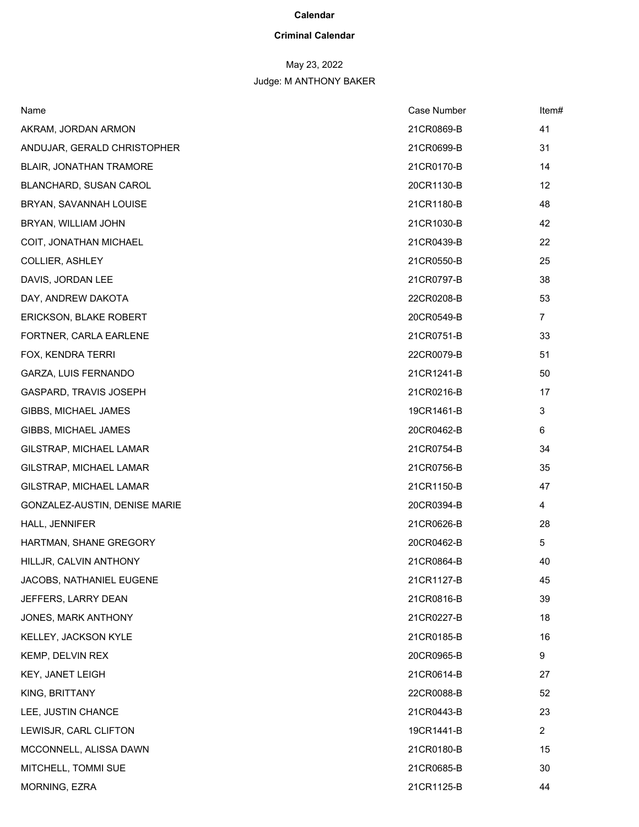# **Criminal Calendar**

# May 23, 2022

| Name                           | Case Number | Item#          |
|--------------------------------|-------------|----------------|
| AKRAM, JORDAN ARMON            | 21CR0869-B  | 41             |
| ANDUJAR, GERALD CHRISTOPHER    | 21CR0699-B  | 31             |
| <b>BLAIR, JONATHAN TRAMORE</b> | 21CR0170-B  | 14             |
| BLANCHARD, SUSAN CAROL         | 20CR1130-B  | 12             |
| BRYAN, SAVANNAH LOUISE         | 21CR1180-B  | 48             |
| BRYAN, WILLIAM JOHN            | 21CR1030-B  | 42             |
| COIT, JONATHAN MICHAEL         | 21CR0439-B  | 22             |
| COLLIER, ASHLEY                | 21CR0550-B  | 25             |
| DAVIS, JORDAN LEE              | 21CR0797-B  | 38             |
| DAY, ANDREW DAKOTA             | 22CR0208-B  | 53             |
| <b>ERICKSON, BLAKE ROBERT</b>  | 20CR0549-B  | 7              |
| FORTNER, CARLA EARLENE         | 21CR0751-B  | 33             |
| FOX, KENDRA TERRI              | 22CR0079-B  | 51             |
| GARZA, LUIS FERNANDO           | 21CR1241-B  | 50             |
| GASPARD, TRAVIS JOSEPH         | 21CR0216-B  | 17             |
| GIBBS, MICHAEL JAMES           | 19CR1461-B  | 3              |
| GIBBS, MICHAEL JAMES           | 20CR0462-B  | 6              |
| GILSTRAP, MICHAEL LAMAR        | 21CR0754-B  | 34             |
| GILSTRAP, MICHAEL LAMAR        | 21CR0756-B  | 35             |
| GILSTRAP, MICHAEL LAMAR        | 21CR1150-B  | 47             |
| GONZALEZ-AUSTIN, DENISE MARIE  | 20CR0394-B  | 4              |
| HALL, JENNIFER                 | 21CR0626-B  | 28             |
| HARTMAN, SHANE GREGORY         | 20CR0462-B  | 5              |
| HILLJR, CALVIN ANTHONY         | 21CR0864-B  | 40             |
| JACOBS, NATHANIEL EUGENE       | 21CR1127-B  | 45             |
| JEFFERS, LARRY DEAN            | 21CR0816-B  | 39             |
| JONES, MARK ANTHONY            | 21CR0227-B  | 18             |
| KELLEY, JACKSON KYLE           | 21CR0185-B  | 16             |
| KEMP, DELVIN REX               | 20CR0965-B  | 9              |
| <b>KEY, JANET LEIGH</b>        | 21CR0614-B  | 27             |
| KING, BRITTANY                 | 22CR0088-B  | 52             |
| LEE, JUSTIN CHANCE             | 21CR0443-B  | 23             |
| LEWISJR, CARL CLIFTON          | 19CR1441-B  | $\overline{2}$ |
| MCCONNELL, ALISSA DAWN         | 21CR0180-B  | 15             |
| MITCHELL, TOMMI SUE            | 21CR0685-B  | 30             |
| MORNING, EZRA                  | 21CR1125-B  | 44             |